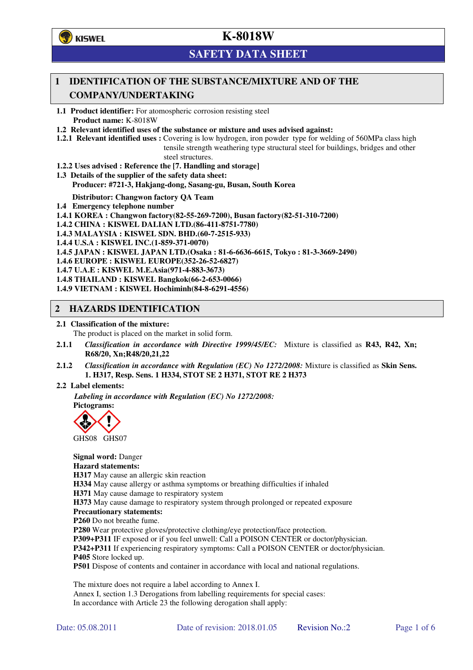

# **SAFETY DATA SHEET**

# **1 IDENTIFICATION OF THE SUBSTANCE/MIXTURE AND OF THE COMPANY/UNDERTAKING**

**1.1 Product identifier:** For atomospheric corrosion resisting steel **Product name:** K-8018W

**1.2 Relevant identified uses of the substance or mixture and uses advised against:**

- **1.2.1 Relevant identified uses :** Covering is low hydrogen, iron powder type for welding of 560MPa class high tensile strength weathering type structural steel for buildings, bridges and other steel structures.
- **1.2.2 Uses advised : Reference the [7. Handling and storage]**
- **1.3 Details of the supplier of the safety data sheet: Producer: #721-3, Hakjang-dong, Sasang-gu, Busan, South Korea**

**Distributor: Changwon factory QA Team** 

- **1.4 Emergency telephone number**
- **1.4.1 KOREA : Changwon factory(82-55-269-7200), Busan factory(82-51-310-7200)**

**1.4.2 CHINA : KISWEL DALIAN LTD.(86-411-8751-7780)** 

**1.4.3 MALAYSIA : KISWEL SDN. BHD.(60-7-2515-933)** 

- **1.4.4 U.S.A : KISWEL INC.(1-859-371-0070)**
- **1.4.5 JAPAN : KISWEL JAPAN LTD.(Osaka : 81-6-6636-6615, Tokyo : 81-3-3669-2490)**
- **1.4.6 EUROPE : KISWEL EUROPE(352-26-52-6827)**
- **1.4.7 U.A.E : KISWEL M.E.Asia(971-4-883-3673)**
- **1.4.8 THAILAND : KISWEL Bangkok(66-2-653-0066)**
- **1.4.9 VIETNAM : KISWEL Hochiminh(84-8-6291-4556)**

### **2 HAZARDS IDENTIFICATION**

#### **2.1 Classification of the mixture:**

The product is placed on the market in solid form.

- **2.1.1** *Classification in accordance with Directive 1999/45/EC:* Mixture is classified as **R43, R42, Xn; R68/20, Xn;R48/20,21,22**
- **2.1.2** *Classification in accordance with Regulation (EC) No 1272/2008:* Mixture is classified as **Skin Sens. 1. H317, Resp. Sens. 1 H334, STOT SE 2 H371, STOT RE 2 H373**

### **2.2 Label elements:**

*Labeling in accordance with Regulation (EC) No 1272/2008:*  **Pictograms:** 



GHS08 GHS07

**Signal word:** Danger **Hazard statements: H317** May cause an allergic skin reaction **H334** May cause allergy or asthma symptoms or breathing difficulties if inhaled **H371** May cause damage to respiratory system **H373** May cause damage to respiratory system through prolonged or repeated exposure **Precautionary statements: P260** Do not breathe fume. **P280** Wear protective gloves/protective clothing/eye protection/face protection. **P309+P311** IF exposed or if you feel unwell: Call a POISON CENTER or doctor/physician. **P342+P311** If experiencing respiratory symptoms: Call a POISON CENTER or doctor/physician. **P405** Store locked up. **P501** Dispose of contents and container in accordance with local and national regulations.

The mixture does not require a label according to Annex I. Annex I, section 1.3 Derogations from labelling requirements for special cases: In accordance with Article 23 the following derogation shall apply: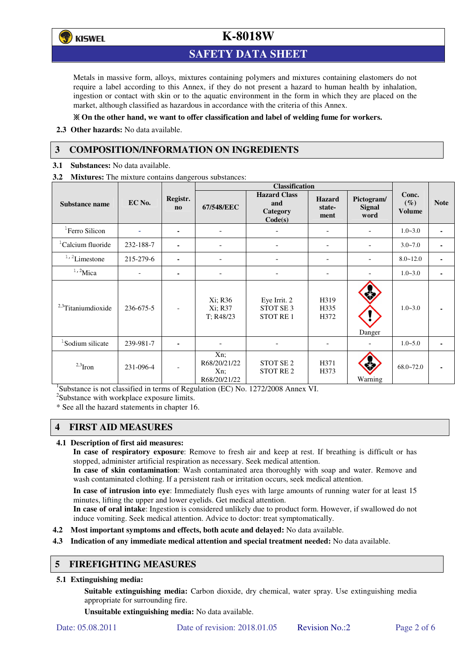

# **SAFETY DATA SHEET**

Metals in massive form, alloys, mixtures containing polymers and mixtures containing elastomers do not require a label according to this Annex, if they do not present a hazard to human health by inhalation, ingestion or contact with skin or to the aquatic environment in the form in which they are placed on the market, although classified as hazardous in accordance with the criteria of this Annex.

### **On the other hand, we want to offer classification and label of welding fume for workers.**

**2.3 Other hazards:** No data available.

# **3 COMPOSITION/INFORMATION ON INGREDIENTS**

**3.1 Substances:** No data available.

**3.2 Mixtures:** The mixture contains dangerous substances:

|                                |                |                          | <b>Classification</b>                      |                                                         |                                 |                                     |                                  |             |
|--------------------------------|----------------|--------------------------|--------------------------------------------|---------------------------------------------------------|---------------------------------|-------------------------------------|----------------------------------|-------------|
| Substance name                 | EC No.         | Registr.<br>$\mathbf{n}$ | 67/548/EEC                                 | <b>Hazard Class</b><br>and<br>Category<br>Code(s)       | <b>Hazard</b><br>state-<br>ment | Pictogram/<br><b>Signal</b><br>word | Conc.<br>$(\%)$<br><b>Volume</b> | <b>Note</b> |
| <sup>1</sup> Ferro Silicon     |                |                          | $\overline{\phantom{a}}$                   |                                                         | -                               |                                     | $1.0 - 3.0$                      |             |
| <sup>1</sup> Calcium fluoride  | 232-188-7      | ٠                        | ٠                                          |                                                         | $\overline{\phantom{0}}$        | $\overline{a}$                      | $3.0 - 7.0$                      |             |
| $1/2$ Limestone                | 215-279-6      | ۰                        | ٠                                          |                                                         | ۰                               |                                     | $8.0 - 12.0$                     |             |
| $1,2$ Mica                     | $\overline{a}$ |                          |                                            |                                                         | $\overline{\phantom{0}}$        |                                     | $1.0 - 3.0$                      |             |
| <sup>2,3</sup> Titaniumdioxide | 236-675-5      | $\overline{\phantom{a}}$ | Xi; R36<br>Xi; R37<br>T: R48/23            | Eye Irrit. 2<br>STOT SE <sub>3</sub><br><b>STOT RE1</b> | H319<br>H335<br>H372            | Danger                              | $1.0 - 3.0$                      |             |
| <sup>1</sup> Sodium silicate   | 239-981-7      |                          |                                            |                                                         |                                 |                                     | $1.0 - 5.0$                      |             |
| $2,3$ Iron                     | 231-096-4      | $\overline{a}$           | Xn;<br>R68/20/21/22<br>Xn;<br>R68/20/21/22 | STOT SE <sub>2</sub><br><b>STOT RE2</b>                 | H371<br>H373                    | Warning                             | $68.0 - 72.0$                    |             |

<sup>1</sup>Substance is not classified in terms of Regulation (EC) No. 1272/2008 Annex VI.

<sup>2</sup>Substance with workplace exposure limits.

\* See all the hazard statements in chapter 16.

## **4 FIRST AID MEASURES**

### **4.1 Description of first aid measures:**

**In case of respiratory exposure**: Remove to fresh air and keep at rest. If breathing is difficult or has stopped, administer artificial respiration as necessary. Seek medical attention.

**In case of skin contamination**: Wash contaminated area thoroughly with soap and water. Remove and wash contaminated clothing. If a persistent rash or irritation occurs, seek medical attention.

 **In case of intrusion into eye**: Immediately flush eyes with large amounts of running water for at least 15 minutes, lifting the upper and lower eyelids. Get medical attention.

**In case of oral intake**: Ingestion is considered unlikely due to product form. However, if swallowed do not induce vomiting. Seek medical attention. Advice to doctor: treat symptomatically.

- **4.2 Most important symptoms and effects, both acute and delayed:** No data available.
- **4.3 Indication of any immediate medical attention and special treatment needed:** No data available.

## **5 FIREFIGHTING MEASURES**

### **5.1 Extinguishing media:**

**Suitable extinguishing media:** Carbon dioxide, dry chemical, water spray. Use extinguishing media appropriate for surrounding fire.

**Unsuitable extinguishing media:** No data available.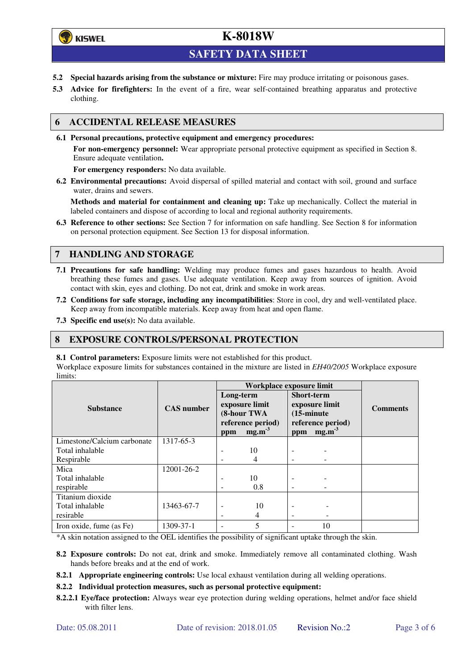# **()** KISWEL

# **K-8018W**

# **SAFETY DATA SHEET**

- **5.2 Special hazards arising from the substance or mixture:** Fire may produce irritating or poisonous gases.
- **5.3 Advice for firefighters:** In the event of a fire, wear self-contained breathing apparatus and protective clothing.

## **6 ACCIDENTAL RELEASE MEASURES**

**6.1 Personal precautions, protective equipment and emergency procedures:** 

**For non-emergency personnel:** Wear appropriate personal protective equipment as specified in Section 8. Ensure adequate ventilation**.** 

**For emergency responders:** No data available.

**6.2 Environmental precautions:** Avoid dispersal of spilled material and contact with soil, ground and surface water, drains and sewers.

**Methods and material for containment and cleaning up:** Take up mechanically. Collect the material in labeled containers and dispose of according to local and regional authority requirements.

**6.3 Reference to other sections:** See Section 7 for information on safe handling. See Section 8 for information on personal protection equipment. See Section 13 for disposal information.

## **7 HANDLING AND STORAGE**

- **7.1 Precautions for safe handling:** Welding may produce fumes and gases hazardous to health. Avoid breathing these fumes and gases. Use adequate ventilation. Keep away from sources of ignition. Avoid contact with skin, eyes and clothing. Do not eat, drink and smoke in work areas.
- **7.2 Conditions for safe storage, including any incompatibilities**: Store in cool, dry and well-ventilated place. Keep away from incompatible materials. Keep away from heat and open flame.
- **7.3 Specific end use(s):** No data available.

## **8 EXPOSURE CONTROLS/PERSONAL PROTECTION**

### **8.1 Control parameters:** Exposure limits were not established for this product.

Workplace exposure limits for substances contained in the mixture are listed in *EH40/2005* Workplace exposure limits:

|                             |                   | Workplace exposure limit |                                                                |                                           |                                                    |                 |  |
|-----------------------------|-------------------|--------------------------|----------------------------------------------------------------|-------------------------------------------|----------------------------------------------------|-----------------|--|
| <b>Substance</b>            | <b>CAS</b> number | Long-term<br>ppm         | exposure limit<br>(8-hour TWA<br>reference period)<br>$mg.m-3$ | <b>Short-term</b><br>$(15\text{-minute})$ | exposure limit<br>reference period)<br>ppm $mg.m3$ | <b>Comments</b> |  |
| Limestone/Calcium carbonate | 1317-65-3         |                          |                                                                |                                           |                                                    |                 |  |
| Total inhalable             |                   |                          | 10                                                             |                                           |                                                    |                 |  |
| Respirable                  |                   |                          | 4                                                              |                                           |                                                    |                 |  |
| Mica                        | 12001-26-2        |                          |                                                                |                                           |                                                    |                 |  |
| Total inhalable             |                   | ۰                        | 10                                                             | ۰                                         |                                                    |                 |  |
| respirable                  |                   | ۰                        | 0.8                                                            | -                                         |                                                    |                 |  |
| Titanium dioxide            |                   |                          |                                                                |                                           |                                                    |                 |  |
| Total inhalable             | 13463-67-7        | ۰                        | 10                                                             | -                                         |                                                    |                 |  |
| resirable                   |                   | ۰                        | 4                                                              | -                                         |                                                    |                 |  |
| Iron oxide, fume (as Fe)    | 1309-37-1         |                          | 5                                                              |                                           | 10                                                 |                 |  |

\*A skin notation assigned to the OEL identifies the possibility of significant uptake through the skin.

- **8.2 Exposure controls:** Do not eat, drink and smoke. Immediately remove all contaminated clothing. Wash hands before breaks and at the end of work.
- **8.2.1 Appropriate engineering controls:** Use local exhaust ventilation during all welding operations.

### **8.2.2 Individual protection measures, such as personal protective equipment:**

**8.2.2.1 Eye/face protection:** Always wear eye protection during welding operations, helmet and/or face shield with filter lens.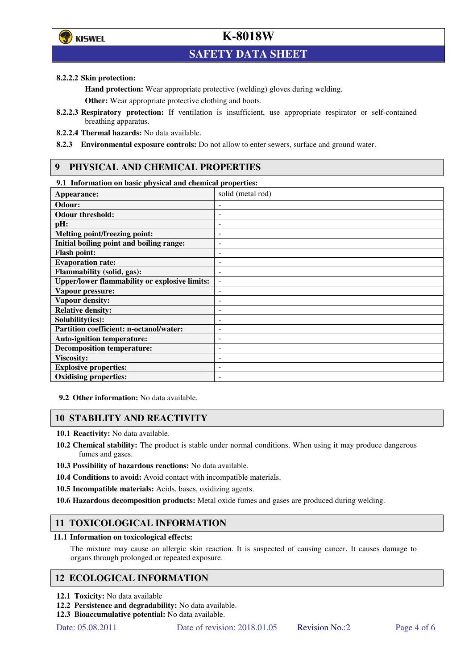

# **SAFETY DATA SHEET**

### **8.2.2.2 Skin protection:**

**Hand protection:** Wear appropriate protective (welding) gloves during welding.

**Other:** Wear appropriate protective clothing and boots.

- **8.2.2.3 Respiratory protection:** If ventilation is insufficient, use appropriate respirator or self-contained breathing apparatus.
- **8.2.2.4 Thermal hazards:** No data available.

**8.2.3 Environmental exposure controls:** Do not allow to enter sewers, surface and ground water.

# **9 PHYSICAL AND CHEMICAL PROPERTIES**

### **9.1 Information on basic physical and chemical properties:**

| Appearance:                                          | solid (metal rod)        |
|------------------------------------------------------|--------------------------|
| Odour:                                               |                          |
| <b>Odour threshold:</b>                              |                          |
| pH:                                                  |                          |
| Melting point/freezing point:                        | $\overline{a}$           |
| Initial boiling point and boiling range:             | ٠                        |
| <b>Flash point:</b>                                  | ۰                        |
| <b>Evaporation rate:</b>                             |                          |
| Flammability (solid, gas):                           | ۰                        |
| <b>Upper/lower flammability or explosive limits:</b> | $\overline{\phantom{0}}$ |
| Vapour pressure:                                     | ۰                        |
| <b>Vapour density:</b>                               | ٠                        |
| <b>Relative density:</b>                             | ۰                        |
| Solubility(ies):                                     |                          |
| Partition coefficient: n-octanol/water:              | ۰                        |
| <b>Auto-ignition temperature:</b>                    | -                        |
| <b>Decomposition temperature:</b>                    | ٠                        |
| <b>Viscosity:</b>                                    |                          |
| <b>Explosive properties:</b>                         |                          |
| <b>Oxidising properties:</b>                         |                          |

**9.2 Other information:** No data available.

## **10 STABILITY AND REACTIVITY**

**10.1 Reactivity:** No data available.

- **10.2 Chemical stability:** The product is stable under normal conditions. When using it may produce dangerous fumes and gases.
- **10.3 Possibility of hazardous reactions:** No data available.
- **10.4 Conditions to avoid:** Avoid contact with incompatible materials.
- **10.5 Incompatible materials:** Acids, bases, oxidizing agents.
- **10.6 Hazardous decomposition products:** Metal oxide fumes and gases are produced during welding.

## **11 TOXICOLOGICAL INFORMATION**

### **11.1 Information on toxicological effects:**

The mixture may cause an allergic skin reaction. It is suspected of causing cancer. It causes damage to organs through prolonged or repeated exposure.

## **12 ECOLOGICAL INFORMATION**

- **12.1 Toxicity:** No data available
- **12.2 Persistence and degradability:** No data available.
- **12.3 Bioaccumulative potential:** No data available.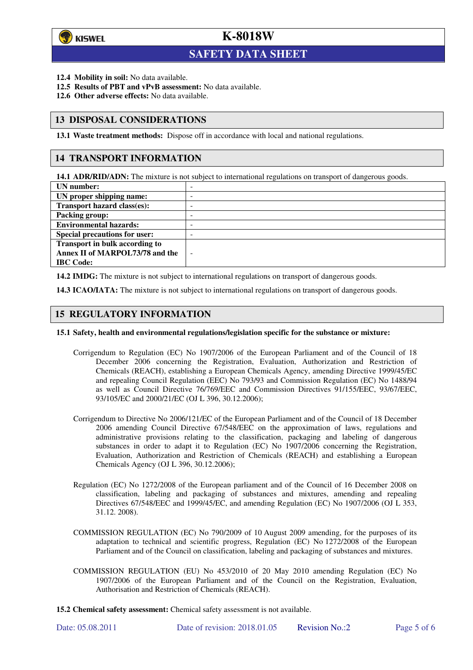

l

# **K-8018W**

# **SAFETY DATA SHEET**

- **12.4 Mobility in soil:** No data available.
- **12.5 Results of PBT and vPvB assessment:** No data available.
- **12.6 Other adverse effects:** No data available.

### **13 DISPOSAL CONSIDERATIONS**

**13.1 Waste treatment methods:** Dispose off in accordance with local and national regulations.

### **14 TRANSPORT INFORMATION**

**14.1 ADR/RID/ADN:** The mixture is not subject to international regulations on transport of dangerous goods.

| UN number:                            | -                        |
|---------------------------------------|--------------------------|
| UN proper shipping name:              | -                        |
| <b>Transport hazard class(es):</b>    | ۰                        |
| Packing group:                        | ۰                        |
| <b>Environmental hazards:</b>         | -                        |
| <b>Special precautions for user:</b>  | -                        |
| <b>Transport in bulk according to</b> |                          |
| Annex II of MARPOL73/78 and the       | $\overline{\phantom{a}}$ |
| <b>IBC</b> Code:                      |                          |
|                                       |                          |

**14.2 IMDG:** The mixture is not subject to international regulations on transport of dangerous goods.

**14.3 ICAO/IATA:** The mixture is not subject to international regulations on transport of dangerous goods.

### **15 REGULATORY INFORMATION**

#### **15.1 Safety, health and environmental regulations/legislation specific for the substance or mixture:**

- Corrigendum to Regulation (EC) No 1907/2006 of the European Parliament and of the Council of 18 December 2006 concerning the Registration, Evaluation, Authorization and Restriction of Chemicals (REACH), establishing a European Chemicals Agency, amending Directive 1999/45/EC and repealing Council Regulation (EEC) No 793/93 and Commission Regulation (EC) No 1488/94 as well as Council Directive 76/769/EEC and Commission Directives 91/155/EEC, 93/67/EEC, 93/105/EC and 2000/21/EC (OJ L 396, 30.12.2006);
- Corrigendum to Directive No 2006/121/EC of the European Parliament and of the Council of 18 December 2006 amending Council Directive 67/548/EEC on the approximation of laws, regulations and administrative provisions relating to the classification, packaging and labeling of dangerous substances in order to adapt it to Regulation (EC) No 1907/2006 concerning the Registration, Evaluation, Authorization and Restriction of Chemicals (REACH) and establishing a European Chemicals Agency (OJ L 396, 30.12.2006);
- Regulation (EC) No 1272/2008 of the European parliament and of the Council of 16 December 2008 on classification, labeling and packaging of substances and mixtures, amending and repealing Directives 67/548/EEC and 1999/45/EC, and amending Regulation (EC) No 1907/2006 (OJ L 353, 31.12. 2008).
- COMMISSION REGULATION (EC) No 790/2009 of 10 August 2009 amending, for the purposes of its adaptation to technical and scientific progress, Regulation (EC) No 1272/2008 of the European Parliament and of the Council on classification, labeling and packaging of substances and mixtures.
- COMMISSION REGULATION (EU) No 453/2010 of 20 May 2010 amending Regulation (EC) No 1907/2006 of the European Parliament and of the Council on the Registration, Evaluation, Authorisation and Restriction of Chemicals (REACH).
- **15.2 Chemical safety assessment:** Chemical safety assessment is not available.